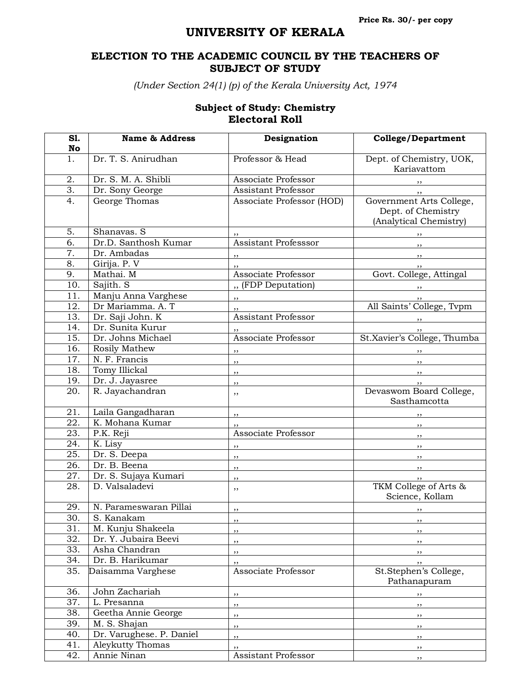## **UNIVERSITY OF KERALA**

## **ELECTION TO THE ACADEMIC COUNCIL BY THE TEACHERS OF SUBJECT OF STUDY**

*(Under Section 24(1) (p) of the Kerala University Act, 1974*

## **Subject of Study: Chemistry Electoral Roll**

| S1.               | <b>Name &amp; Address</b> | Designation                | <b>College/Department</b>                                                |
|-------------------|---------------------------|----------------------------|--------------------------------------------------------------------------|
| No                |                           |                            |                                                                          |
| 1.                | Dr. T. S. Anirudhan       | Professor & Head           | Dept. of Chemistry, UOK,<br>Kariavattom                                  |
| 2.                | Dr. S. M. A. Shibli       | Associate Professor        | ,,                                                                       |
| $\overline{3}$ .  | Dr. Sony George           | <b>Assistant Professor</b> |                                                                          |
| $\overline{4}$ .  | George Thomas             | Associate Professor (HOD)  | Government Arts College,<br>Dept. of Chemistry<br>(Analytical Chemistry) |
| 5.                | Shanavas. S               |                            |                                                                          |
| $\overline{6}$ .  | Dr.D. Santhosh Kumar      | Assistant Professsor       | $, \,$                                                                   |
| $\overline{7}$ .  | Dr. Ambadas               |                            | $, \,$                                                                   |
| 8.                |                           | ,,                         | $, \, \, \cdot$                                                          |
| 9.                | Girija. P. V              | Associate Professor        | $, \,$                                                                   |
|                   | Mathai. M                 |                            | Govt. College, Attingal                                                  |
| 10.               | Sajith. S                 | " (FDP Deputation)         |                                                                          |
| 11.               | Manju Anna Varghese       | $, \,$                     |                                                                          |
| 12.               | Dr Mariamma. A. T         | $, \,$                     | All Saints' College, Tvpm                                                |
| 13.               | Dr. Saji John. K          | Assistant Professor        | $, \,$                                                                   |
| 14.               | Dr. Sunita Kurur          |                            |                                                                          |
| 15.               | Dr. Johns Michael         | Associate Professor        | St.Xavier's College, Thumba                                              |
| 16.               | Rosily Mathew             | $, \,$                     |                                                                          |
| 17.               | N. F. Francis             | $, \,$                     | $, \,$                                                                   |
| 18.               | Tomy Illickal             | , ,                        | $\overline{\phantom{a}}$                                                 |
| 19.               | Dr. J. Jayasree           | ,,                         | $, \,$                                                                   |
| 20.               | R. Jayachandran           | ,,                         | Devaswom Board College,<br>Sasthamcotta                                  |
| 21.               | Laila Gangadharan         | $\overline{\phantom{a}}$   |                                                                          |
| 22.               | K. Mohana Kumar           | , ,                        |                                                                          |
| 23.               | P.K. Reji                 | Associate Professor        | ,,                                                                       |
| 24.               | K. Lisy                   | $, \, \,$                  | $, \,$                                                                   |
| 25.               | Dr. S. Deepa              | $, \,$                     | $, \,$                                                                   |
| 26.               | Dr. B. Beena              | $, \,$                     | $, \, , \,$                                                              |
| 27.               | Dr. S. Sujaya Kumari      | ,,                         | ,,                                                                       |
| 28.               | D. Valsaladevi            | ,,                         | TKM College of Arts &<br>Science, Kollam                                 |
| 29.               | N. Parameswaran Pillai    | $, \,$                     |                                                                          |
| $\overline{30}$ . | S. Kanakam                | , ,                        | $, \, \,$                                                                |
| 31.               | M. Kunju Shakeela         | , ,                        | , ,                                                                      |
| 32.               | Dr. Y. Jubaira Beevi      | $, \,$                     | ,,                                                                       |
| 33.               | Asha Chandran             |                            |                                                                          |
| 34.               | Dr. B. Harikumar          | $, \,$                     | , ,                                                                      |
| 35.               | Daisamma Varghese         | ,,<br>Associate Professor  | , ,<br>St.Stephen's College,                                             |
|                   |                           |                            | Pathanapuram                                                             |
| 36.               | John Zachariah            | ,,                         | $, \, \,$                                                                |
| 37.               | L. Presanna               | , ,                        | $, \, \,$                                                                |
| 38.               | Geetha Annie George       | $, \,$                     | , ,                                                                      |
| 39.               | M. S. Shajan              | ,,                         | $, \,$                                                                   |
| 40.               | Dr. Varughese. P. Daniel  | $, \,$                     | , ,                                                                      |
| 41.               | Aleykutty Thomas          | $, \,$                     | , ,                                                                      |
| 42.               | Annie Ninan               | Assistant Professor        | ,,                                                                       |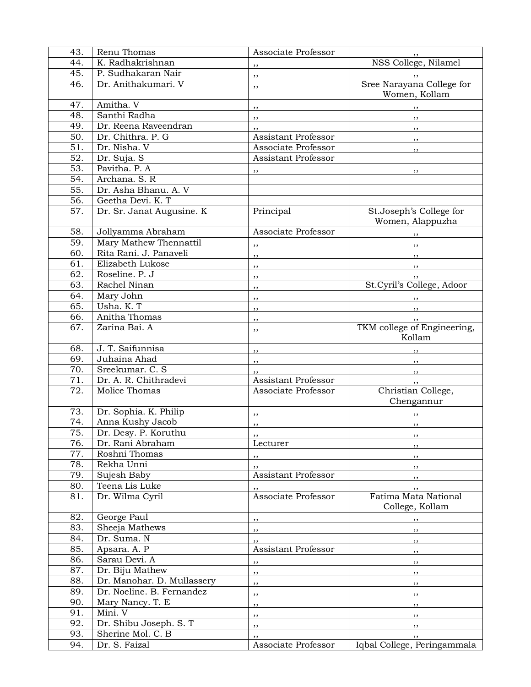| 43.               | Renu Thomas                | Associate Professor              |                                         |
|-------------------|----------------------------|----------------------------------|-----------------------------------------|
| 44.               | K. Radhakrishnan           | $, \,$                           | NSS College, Nilamel                    |
| 45.               | P. Sudhakaran Nair         | $, \,$                           | $\cdots$                                |
| 46.               | Dr. Anithakumari. V        | ,,                               | Sree Narayana College for               |
|                   |                            |                                  | Women, Kollam                           |
| 47.               | Amitha. V                  | $, \,$                           | $, \, \, \cdot$                         |
| 48.               | Santhi Radha               | $, \, \, \cdot$                  | $\overline{\phantom{a}}$                |
| 49.               | Dr. Reena Raveendran       | ,,                               | $, \,$                                  |
| $\overline{50}$ . | Dr. Chithra. P. G          | Assistant Professor              |                                         |
| $\overline{51}$ . | Dr. Nisha. V               | Associate Professor              | , ,                                     |
| 52.               | Dr. Suja. S                | <b>Assistant Professor</b>       | $, \,$                                  |
| 53.               | Pavitha. P. A              |                                  |                                         |
| 54.               | Archana. S. R              | $, \,$                           | $, \,$                                  |
| 55.               | Dr. Asha Bhanu. A. V       |                                  |                                         |
| $\overline{56}$ . | Geetha Devi. K. T          |                                  |                                         |
| 57.               | Dr. Sr. Janat Augusine. K  | Principal                        | St.Joseph's College for                 |
|                   |                            |                                  | Women, Alappuzha                        |
| 58.               | Jollyamma Abraham          | Associate Professor              | $\overline{\phantom{a}}$                |
| 59.               | Mary Mathew Thennattil     | $\overline{\phantom{a}}$         | $\overline{\phantom{a}}$                |
| 60.               | Rita Rani. J. Panaveli     | $\overline{\phantom{a}}$         | $\overline{\phantom{a}}$                |
| $\overline{61}$ . | Elizabeth Lukose           | $, \, \,$                        |                                         |
| 62.               | Roseline. P. J             | $, \,$                           |                                         |
| 63.               | Rachel Ninan               | $, \,$                           | St.Cyril's College, Adoor               |
| 64.               | Mary John                  | ,,                               |                                         |
| 65.               | Usha. K. T                 | , ,                              |                                         |
| 66.               | Anitha Thomas              | $, \,$                           | , ,                                     |
| 67.               | Zarina Bai. A              | ,,                               | TKM college of Engineering,<br>Kollam   |
| 68.               | J. T. Saifunnisa           |                                  |                                         |
| 69.               | Juhaina Ahad               | ,,                               |                                         |
| 70.               | Sreekumar. C. S            | ,,                               |                                         |
| 71.               | Dr. A. R. Chithradevi      | Assistant Professor              | $, \,$                                  |
| 72.               | Molice Thomas              | Associate Professor              | , ,<br>Christian College,               |
|                   |                            |                                  | Chengannur                              |
| 73.               | Dr. Sophia. K. Philip      | , ,                              |                                         |
| 74.               | Anna Kushy Jacob           | $, \,$                           | ,,                                      |
| 75.               | Dr. Desy. P. Koruthu       | $\ddotsc$                        | $\ddotsc$                               |
| 76.               | Dr. Rani Abraham           | Lecturer                         | ,,                                      |
| 77.               | Roshni Thomas              | ,,                               | ,,                                      |
| 78.               | Rekha Unni                 | $, \,$                           | ,,                                      |
| 79.               | Sujesh Baby                | Assistant Professor              | , ,                                     |
| 80.               | Teena Lis Luke             |                                  | ,,                                      |
| 81.               | Dr. Wilma Cyril            | Associate Professor              | Fatima Mata National<br>College, Kollam |
| 82.               | George Paul                |                                  |                                         |
| 83.               | Sheeja Mathews             | $, \, \,$                        | $, \,$                                  |
| 84.               | Dr. Suma. N                | $, \,$                           | $, \,$                                  |
| 85.               | Apsara. A. P               | ,,<br><b>Assistant Professor</b> | ,,                                      |
| 86.               | Sarau Devi. A              |                                  | $, \,$                                  |
| 87.               |                            | $, \,$                           | , ,                                     |
|                   | Dr. Biju Mathew            | $\overline{\phantom{a}}$         | $, \,$                                  |
| 88.               | Dr. Manohar. D. Mullassery | $, \, \, \cdot$                  | $, \,$                                  |
| 89.               | Dr. Noeline. B. Fernandez  | $, \,$                           | ,,                                      |
| 90.               | Mary Nancy. T. E           | $, \,$                           | ,,                                      |
| 91.               | Mini. V                    | ,,                               | ,,                                      |
| 92.               | Dr. Shibu Joseph. S. T     | ,,                               | , ,                                     |
| 93.               | Sherine Mol. C. B          | , ,                              | ,,                                      |
| 94.               | Dr. S. Faizal              | Associate Professor              | Iqbal College, Peringammala             |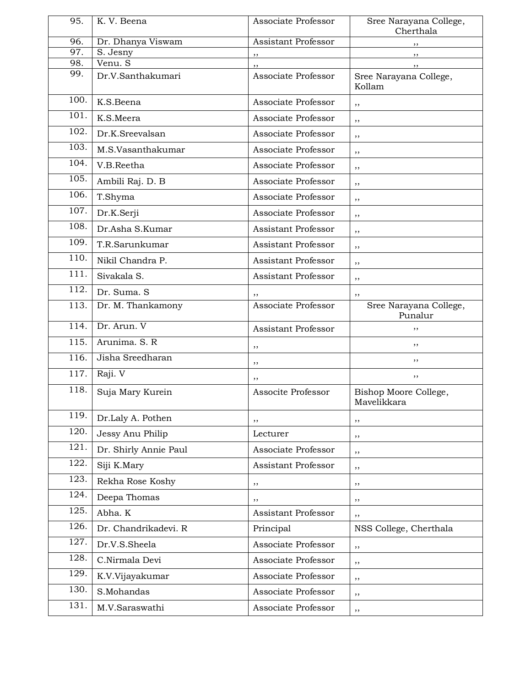| 95.               | K. V. Beena           | Associate Professor        | Sree Narayana College,<br>Cherthala  |
|-------------------|-----------------------|----------------------------|--------------------------------------|
| 96.               | Dr. Dhanya Viswam     | Assistant Professor        | ,,                                   |
| 97.               | S. Jesny              | ,,                         | ,,                                   |
| 98.               | Venu. S               | , ,                        | ,,                                   |
| 99.               | Dr.V.Santhakumari     | Associate Professor        | Sree Narayana College,<br>Kollam     |
| 100.              | K.S.Beena             | Associate Professor        | ,,                                   |
| 101.              | K.S.Meera             | Associate Professor        | ,,                                   |
| 102.              | Dr.K.Sreevalsan       | Associate Professor        | ,,                                   |
| 103.              | M.S.Vasanthakumar     | Associate Professor        | ,,                                   |
| $\overline{1}04.$ | V.B.Reetha            | Associate Professor        | ,,                                   |
| 105.              | Ambili Raj. D. B      | Associate Professor        | ,,                                   |
| 106.              | T.Shyma               | Associate Professor        | ,,                                   |
| 107.              | Dr.K.Serji            | Associate Professor        | ,,                                   |
| 108.              | Dr.Asha S.Kumar       | <b>Assistant Professor</b> | ,,                                   |
| 109.              | T.R.Sarunkumar        | Assistant Professor        | ,,                                   |
| 110.              | Nikil Chandra P.      | <b>Assistant Professor</b> | ,,                                   |
| 111.              | Sivakala S.           | Assistant Professor        | ,,                                   |
| 112.              | Dr. Suma. S           | , ,                        | ,,                                   |
| 113.              | Dr. M. Thankamony     | Associate Professor        | Sree Narayana College,<br>Punalur    |
| 114.              | Dr. Arun. V           | <b>Assistant Professor</b> | ,,                                   |
| 115.              | Arunima. S. R         | ,,                         | ,,                                   |
| 116.              | Jisha Sreedharan      | ,,                         | ,,                                   |
| 117.              | Raji. V               | ,,                         | ,,                                   |
| 118.              | Suja Mary Kurein      | Associte Professor         | Bishop Moore College,<br>Mavelikkara |
| 119.              | Dr.Laly A. Pothen     | ,,                         | ,,                                   |
| 120.              | Jessy Anu Philip      | Lecturer                   | $, \,$                               |
| 121.              | Dr. Shirly Annie Paul | Associate Professor        | ,,                                   |
| 122.              | Siji K.Mary           | Assistant Professor        | ,,                                   |
| 123.              | Rekha Rose Koshy      | ,,                         | ,,                                   |
| 124.              | Deepa Thomas          | ,,                         | ,,                                   |
| 125.              | Abha. K               | <b>Assistant Professor</b> | ,,                                   |
| 126.              | Dr. Chandrikadevi. R  | Principal                  | NSS College, Cherthala               |
| 127.              | Dr.V.S.Sheela         | Associate Professor        | ,,                                   |
| 128.              | C.Nirmala Devi        | Associate Professor        | ,,                                   |
| 129.              | K.V.Vijayakumar       | Associate Professor        | ,,                                   |
| 130.              | S.Mohandas            | Associate Professor        | ,,                                   |
| 131.              | M.V.Saraswathi        | Associate Professor        | ,,                                   |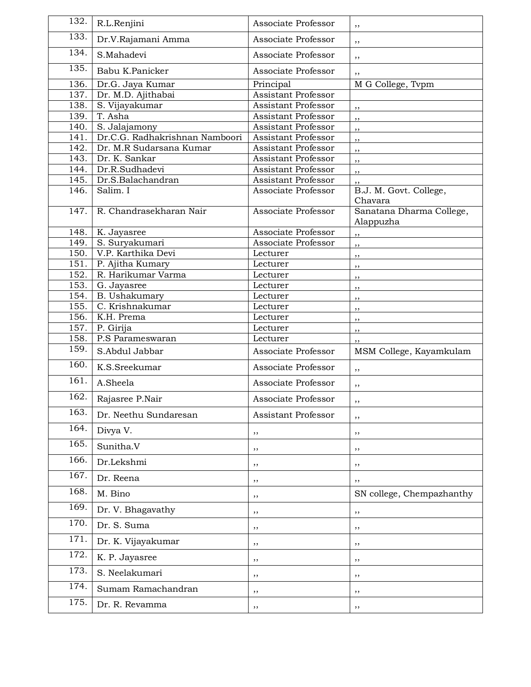| 132. | R.L.Renjini                            | Associate Professor        | ,,                                |
|------|----------------------------------------|----------------------------|-----------------------------------|
| 133. | Dr.V.Rajamani Amma                     | Associate Professor        | ,,                                |
| 134. | S.Mahadevi                             | Associate Professor        | ,,                                |
| 135. | Babu K.Panicker                        | Associate Professor        | ,,                                |
| 136. | Dr.G. Jaya Kumar                       | Principal                  | M G College, Tvpm                 |
| 137. | Dr. M.D. Ajithabai                     | Assistant Professor        |                                   |
| 138. | S. Vijayakumar                         | <b>Assistant Professor</b> | ,,                                |
| 139. | T. Asha                                | Assistant Professor        | ,,                                |
| 140. | S. Jalajamony                          | Assistant Professor        | , ,                               |
| 141. | Dr.C.G. Radhakrishnan Namboori         | <b>Assistant Professor</b> | , ,                               |
| 142. | Dr. M.R Sudarsana Kumar                | <b>Assistant Professor</b> | ,,                                |
| 143. | Dr. K. Sankar                          | Assistant Professor        | ,,                                |
| 144. | Dr.R.Sudhadevi                         | Assistant Professor        | ,,                                |
| 145. | Dr.S.Balachandran                      | Assistant Professor        | ,,                                |
| 146. | Salim. I                               | Associate Professor        | B.J. M. Govt. College,<br>Chavara |
| 147. | R. Chandrasekharan Nair                | Associate Professor        | Sanatana Dharma College,          |
| 148. | K. Jayasree                            | Associate Professor        | Alappuzha                         |
| 149. | S. Suryakumari                         | Associate Professor        | ,,                                |
| 150. | V.P. Karthika Devi                     |                            | ,,                                |
| 151. |                                        | Lecturer                   | ,,                                |
| 152. | P. Ajitha Kumary<br>R. Harikumar Varma | Lecturer<br>Lecturer       | ,,                                |
| 153. | G. Jayasree                            | Lecturer                   | ,,                                |
| 154. | B. Ushakumary                          | Lecturer                   | ,,                                |
| 155. | C. Krishnakumar                        | Lecturer                   | ,,                                |
| 156. | K.H. Prema                             | Lecturer                   | ,,                                |
| 157. | P. Girija                              | Lecturer                   | ,,                                |
| 158. | P.S Parameswaran                       | Lecturer                   | ,,                                |
| 159. | S.Abdul Jabbar                         | Associate Professor        | ,,<br>MSM College, Kayamkulam     |
| 160. | K.S.Sreekumar                          | Associate Professor        | ,,                                |
| 161. | A.Sheela                               | Associate Professor        | ,,                                |
| 162. | Rajasree P.Nair                        | Associate Professor        | ,,                                |
| 163. | Dr. Neethu Sundaresan                  | Assistant Professor        | ,,                                |
| 164. | Divya V.                               | $, \,$                     | $, \,$                            |
| 165. | Sunitha.V                              | $, \,$                     | $, \,$                            |
| 166. | Dr.Lekshmi                             | ,,                         | $, \,$                            |
| 167. | Dr. Reena                              | ,,                         | ,,                                |
| 168. | M. Bino                                | ,,                         | SN college, Chempazhanthy         |
| 169. | Dr. V. Bhagavathy                      | ,,                         | ,,                                |
| 170. | Dr. S. Suma                            | ,,                         | ,,                                |
| 171. | Dr. K. Vijayakumar                     | $, \,$                     | ,,                                |
| 172. | K. P. Jayasree                         | ,,                         | ,,                                |
| 173. | S. Neelakumari                         | ,,                         | ,,                                |
| 174. | Sumam Ramachandran                     | ,,                         | ,,                                |
| 175. | Dr. R. Revamma                         | , ,                        | , ,                               |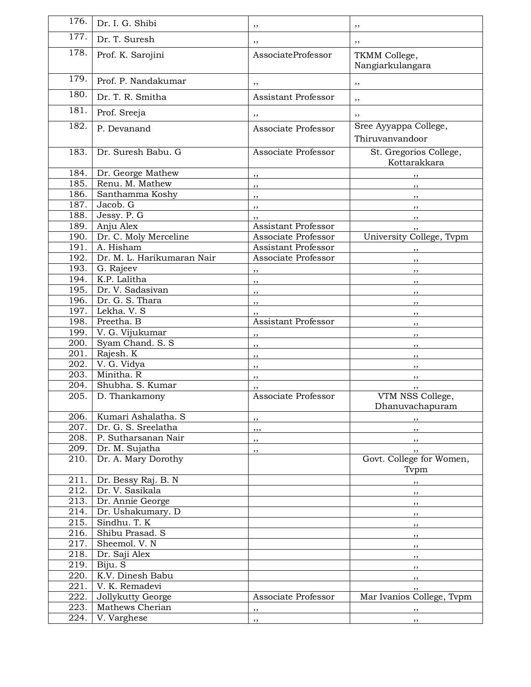| 176.               | Dr. I. G. Shibi                      | ,,                        | ,,                                       |
|--------------------|--------------------------------------|---------------------------|------------------------------------------|
| 177.               | Dr. T. Suresh                        | ,,                        | ,,                                       |
| 178.               | Prof. K. Sarojini                    | AssociateProfessor        | TKMM College,<br>Nangiarkulangara        |
| 179.               | Prof. P. Nandakumar                  | ,,                        | ,,                                       |
| 180.               | Dr. T. R. Smitha                     | Assistant Professor       |                                          |
| 181.               |                                      |                           | ,,                                       |
|                    | Prof. Sreeja                         | ,,                        | ,,                                       |
| 182.               | P. Devanand                          | Associate Professor       | Sree Ayyappa College,<br>Thiruvanvandoor |
| 183.               | Dr. Suresh Babu. G                   | Associate Professor       | St. Gregorios College,<br>Kottarakkara   |
| 184.               | Dr. George Mathew                    | $, \,$                    | $, \,$                                   |
| 185.               | Renu. M. Mathew                      | ,,                        | ,,                                       |
| 186.               | Santhamma Koshy                      | $, \,$                    | $, \,$                                   |
| 187.               | Jacob. G                             | $, \,$                    | $, \,$                                   |
| 188.               | Jessy. P. G                          |                           | ,,                                       |
| 189.               | Anju Alex                            | Assistant Professor       |                                          |
| 190.               | Dr. C. Moly Merceline                | Associate Professor       | University College, Tvpm                 |
| 191.               | A. Hisham                            | Assistant Professor       | $, \,$                                   |
| 192.               | Dr. M. L. Harikumaran Nair           | Associate Professor       | $, \,$                                   |
| 193.               | G. Rajeev<br>K.P. Lalitha            | ,,                        | $, \,$                                   |
| 194.               |                                      | ,,                        | $, \,$                                   |
| 195.               | Dr. V. Sadasivan                     | , ,                       | , ,                                      |
| 196.<br>197.       | Dr. G. S. Thara                      | , ,                       | ,,                                       |
| 198.               | Lekha. V. S<br>Preetha. B            | ,,<br>Assistant Professor | ,,                                       |
| 199.               | V. G. Vijukumar                      |                           | $, \,$                                   |
| 200.               | Syam Chand. S. S.                    | ,,                        | $, \,$                                   |
| 201.               | Rajesh. K                            | ,,                        | ,,                                       |
| 202.               | V. G. Vidya                          | ,,                        | ,,                                       |
| 203.               | Minitha. R                           | ,,                        | , ,                                      |
| 204.               | Shubha. S. Kumar                     | ,,<br>,,                  | ,,                                       |
| 205.               | D. Thankamony                        | Associate Professor       | VTM NSS College,<br>Dhanuvachapuram      |
| 206.               | Kumari Ashalatha. S                  | ,,                        | $, \, \,$                                |
| 207.               | Dr. G. S. Sreelatha                  | , , ,                     | $\overline{\phantom{a}}$                 |
| 208.               | P. Sutharsanan Nair                  | ,,                        | $\mathbf{z}$                             |
| 209.               | Dr. M. Sujatha                       | $, \,$                    | ,,                                       |
| 210.               | Dr. A. Mary Dorothy                  |                           | Govt. College for Women,<br>Typm         |
| 211.               | Dr. Bessy Raj. B. N                  |                           | ,,                                       |
| 212.               | Dr. V. Sasikala                      |                           | $, \,$                                   |
| 213.               | Dr. Annie George                     |                           | $, \,$                                   |
| 214.               | Dr. Ushakumary. D                    |                           | $, \,$                                   |
| $\overline{215}$ . | Sindhu. T. K                         |                           | $, \,$                                   |
| 216.               | Shibu Prasad. S                      |                           | $, \,$                                   |
| $\overline{2}17.$  | Sheemol. V. N                        |                           | ,,                                       |
| 218.               | Dr. Saji Alex                        |                           | ,,                                       |
| 219.<br>220.       | Biju. S<br>K.V. Dinesh Babu          |                           | $, \,$                                   |
| 221.               | V. K. Remadevi                       |                           | $, \,$                                   |
| 222.               |                                      | Associate Professor       | ,,<br>Mar Ivanios College, Tvpm          |
| 223.               | Jollykutty George<br>Mathews Cherian |                           |                                          |
| 224.               | V. Varghese                          | ,,                        | $\overline{\phantom{a}}$                 |
|                    |                                      | , ,                       | ,,                                       |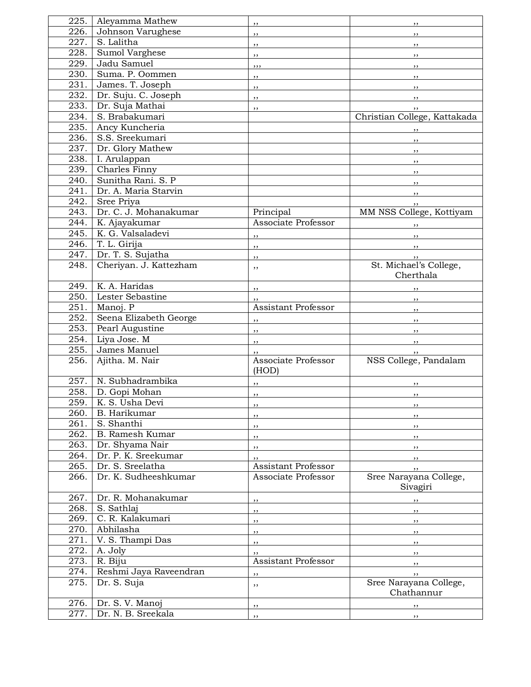| 225.              | Aleyamma Mathew        |                              | ,,                                   |
|-------------------|------------------------|------------------------------|--------------------------------------|
| 226.              | Johnson Varughese      | , ,                          | ,,                                   |
| 227.              | S. Lalitha             | , ,                          | ,,                                   |
| 228.              | Sumol Varghese         | ,,                           | $, \,$                               |
| 229.              | Jadu Samuel            | , , ,                        | $, \,$                               |
| 230.              | Suma. P. Oommen        | ,,                           | ,,                                   |
| 231.              | James. T. Joseph       | $, \,$                       | , ,                                  |
| 232.              | Dr. Suju. C. Joseph    | ,,                           | $, \,$                               |
| 233.              | Dr. Suja Mathai        | $, \,$                       | $, \,$                               |
| 234.              | S. Brabakumari         |                              | Christian College, Kattakada         |
| 235.              | Ancy Kuncheria         |                              | ,,                                   |
| 236.              | S.S. Sreekumari        |                              | $, \, \, \cdot$                      |
| 237.              | Dr. Glory Mathew       |                              | $\overline{\phantom{a}}$             |
| 238.              | I. Arulappan           |                              | $\overline{\phantom{a}}$             |
| 239.              | <b>Charles Finny</b>   |                              | $, \,$                               |
| 240.              | Sunitha Rani. S. P     |                              | $, \,$                               |
| 241.              | Dr. A. Maria Starvin   |                              | $, \,$                               |
| 242.              | Sree Priya             |                              | ,,                                   |
| 243.              | Dr. C. J. Mohanakumar  | Principal                    | MM NSS College, Kottiyam             |
| 244.              | K. Ajayakumar          | Associate Professor          |                                      |
| 245.              | K. G. Valsaladevi      | ,,                           | $\overline{\phantom{a}}$             |
| 246.              | T. L. Girija           | $, \,$                       | $\overline{\phantom{a}}$             |
| 247.              | Dr. T. S. Sujatha      | $, \,$                       | $, \,$                               |
| 248.              | Cheriyan. J. Kattezham | ,,                           | St. Michael's College,<br>Cherthala  |
| 249.              | K. A. Haridas          | $, \,$                       |                                      |
| 250.              | Lester Sebastine       | , ,                          | , ,                                  |
| 251.              | Manoj. P               | <b>Assistant Professor</b>   | $, \, \, \cdot$                      |
| 252.              | Seena Elizabeth George | ,,                           | $, \,$                               |
| 253.              | Pearl Augustine        | ,,                           | ,,                                   |
| 254.              | Liya Jose. M           | ,,                           | $, \,$                               |
| 255.              | James Manuel           | ,,                           | $, \,$                               |
| 256.              | Ajitha. M. Nair        | Associate Professor<br>(HOD) | NSS College, Pandalam                |
| 257.              | N. Subhadrambika       | $, \,$                       | $, \,$                               |
| 258.              | D. Gopi Mohan          | ,,                           | ,,                                   |
| 259.              | K. S. Usha Devi        | $, \,$                       | , ,                                  |
| 260.              | B. Harikumar           | ,,                           | ,,                                   |
| 261.              | S. Shanthi             | $, \,$                       | ,,                                   |
| 262.              | B. Ramesh Kumar        | ,,                           | ,,                                   |
| 263.              | Dr. Shyama Nair        | $, \,$                       | ,,                                   |
| 264.              | Dr. P. K. Sreekumar    | ,,                           | ,,                                   |
| 265.              | Dr. S. Sreelatha       | Assistant Professor          | , ,                                  |
| 266.              | Dr. K. Sudheeshkumar   | Associate Professor          | Sree Narayana College,<br>Sivagiri   |
| 267.              | Dr. R. Mohanakumar     | ,,                           | ,,                                   |
| 268.              | S. Sathlaj             | ,,                           | ,,                                   |
| 269.              | C. R. Kalakumari       | ,,                           | ,,                                   |
| 270.              | Abhilasha              | ,,                           | ,,                                   |
| 271.              | V. S. Thampi Das       | ,,                           | ,,                                   |
| 272.              | A. Joly                | ,,                           | , ,                                  |
| 273.              | R. Biju                | Assistant Professor          | ,,                                   |
| 274.              | Reshmi Jaya Raveendran | $, \,$                       | $, \,$                               |
| 275.              | Dr. S. Suja            | ,,                           | Sree Narayana College,<br>Chathannur |
| 276.              | Dr. S. V. Manoj        | ,,                           | $, \,$                               |
| $\overline{2}77.$ | Dr. N. B. Sreekala     | , ,                          | $, \, \,$                            |